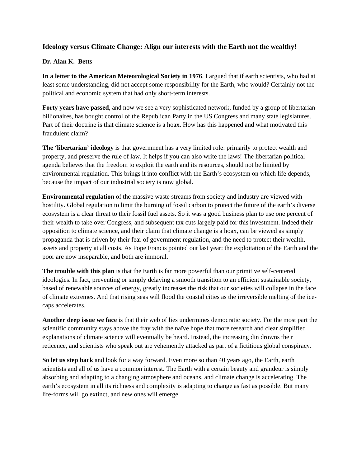## **Ideology versus Climate Change: Align our interests with the Earth not the wealthy!**

## **Dr. Alan K. Betts**

**In a letter to the American Meteorological Society in 1976**, I argued that if earth scientists, who had at least some understanding, did not accept some responsibility for the Earth, who would? Certainly not the political and economic system that had only short-term interests.

**Forty years have passed**, and now we see a very sophisticated network, funded by a group of libertarian billionaires, has bought control of the Republican Party in the US Congress and many state legislatures. Part of their doctrine is that climate science is a hoax. How has this happened and what motivated this fraudulent claim?

**The 'libertarian' ideology** is that government has a very limited role: primarily to protect wealth and property, and preserve the rule of law. It helps if you can also write the laws! The libertarian political agenda believes that the freedom to exploit the earth and its resources, should not be limited by environmental regulation. This brings it into conflict with the Earth's ecosystem on which life depends, because the impact of our industrial society is now global.

**Environmental regulation** of the massive waste streams from society and industry are viewed with hostility. Global regulation to limit the burning of fossil carbon to protect the future of the earth's diverse ecosystem is a clear threat to their fossil fuel assets. So it was a good business plan to use one percent of their wealth to take over Congress, and subsequent tax cuts largely paid for this investment. Indeed their opposition to climate science, and their claim that climate change is a hoax, can be viewed as simply propaganda that is driven by their fear of government regulation, and the need to protect their wealth, assets and property at all costs. As Pope Francis pointed out last year: the exploitation of the Earth and the poor are now inseparable, and both are immoral.

**The trouble with this plan** is that the Earth is far more powerful than our primitive self-centered ideologies. In fact, preventing or simply delaying a smooth transition to an efficient sustainable society, based of renewable sources of energy, greatly increases the risk that our societies will collapse in the face of climate extremes. And that rising seas will flood the coastal cities as the irreversible melting of the icecaps accelerates.

**Another deep issue we face** is that their web of lies undermines democratic society. For the most part the scientific community stays above the fray with the naïve hope that more research and clear simplified explanations of climate science will eventually be heard. Instead, the increasing din drowns their reticence, and scientists who speak out are vehemently attacked as part of a fictitious global conspiracy.

**So let us step back** and look for a way forward. Even more so than 40 years ago, the Earth, earth scientists and all of us have a common interest. The Earth with a certain beauty and grandeur is simply absorbing and adapting to a changing atmosphere and oceans, and climate change is accelerating. The earth's ecosystem in all its richness and complexity is adapting to change as fast as possible. But many life-forms will go extinct, and new ones will emerge.